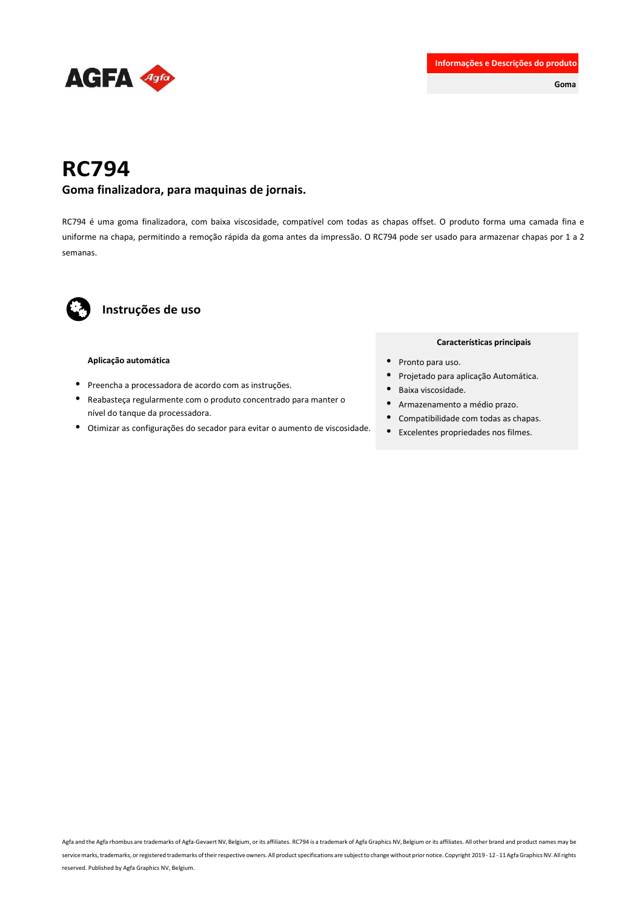

**Goma**

# **RC794**

#### **Goma finalizadora, para maquinas de jornais.**

RC794 é uma goma finalizadora, com baixa viscosidade, compatível com todas as chapas offset. O produto forma uma camada fina e uniforme na chapa, permitindo a remoção rápida da goma antes da impressão. O RC794 pode ser usado para armazenar chapas por 1 a 2 semanas.



### **Instruções de uso**

#### **Aplicação automática**

- Preencha a processadora de acordo com as instruções.
- Reabasteça regularmente com o produto concentrado para manter o nível do tanque da processadora.
- Otimizar as configurações do secador para evitar o aumento de viscosidade.

#### **Características principais**

- Pronto para uso.
- Projetado para aplicação Automática.
- Baixa viscosidade.
- Armazenamento a médio prazo.
- Compatibilidade com todas as chapas.
- Excelentes propriedades nos filmes.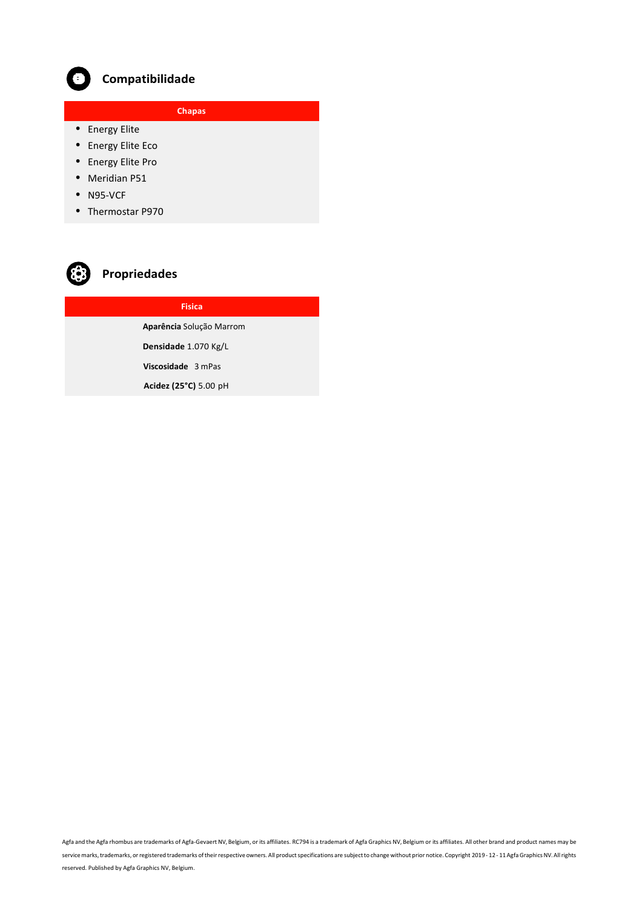

## **Compatibilidade**

**Plate Chapas**

- Energy Elite
- Energy Elite Eco
- Energy Elite Pro
- Meridian P51
- N95-VCF
- Thermostar P970



## **Propriedades**

## **Fisica**

**Aparência** Solução Marrom

**Densidade** 1.070 Kg/L

 **Viscosidade** 3 mPas

 **Acidez (25°C)** 5.00 pH

Agfa and the Agfa rhombus are trademarks of Agfa-Gevaert NV, Belgium, or its affiliates. RC794 is a trademark of Agfa Graphics NV, Belgium or its affiliates. All other brand and product names may be service marks, trademarks, or registered trademarks of their respective owners. All product specifications are subject to change without prior notice. Copyright 2019 - 12 - 11 Agfa Graphics NV. All rights reserved. Published by Agfa Graphics NV, Belgium.